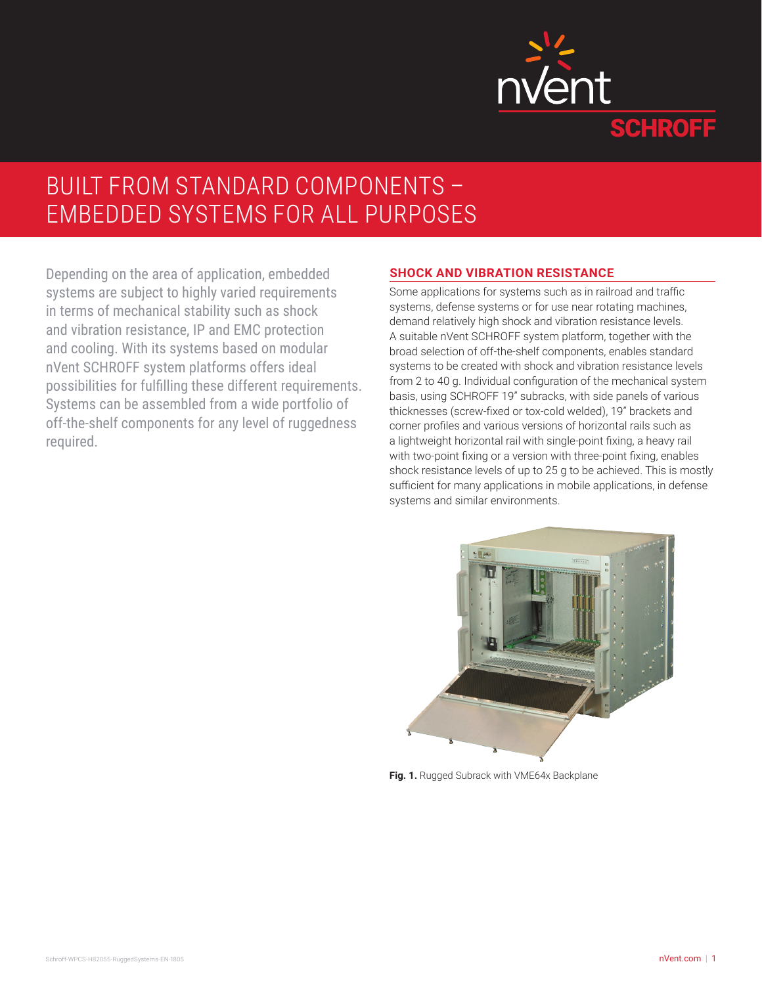

# BUILT FROM STANDARD COMPONENTS – EMBEDDED SYSTEMS FOR ALL PURPOSES

Depending on the area of application, embedded systems are subject to highly varied requirements in terms of mechanical stability such as shock and vibration resistance, IP and EMC protection and cooling. With its systems based on modular nVent SCHROFF system platforms offers ideal possibilities for fulfilling these different requirements. Systems can be assembled from a wide portfolio of off-the-shelf components for any level of ruggedness required.

#### **SHOCK AND VIBRATION RESISTANCE**

Some applications for systems such as in railroad and traffic systems, defense systems or for use near rotating machines, demand relatively high shock and vibration resistance levels. A suitable nVent SCHROFF system platform, together with the broad selection of off-the-shelf components, enables standard systems to be created with shock and vibration resistance levels from 2 to 40 g. Individual configuration of the mechanical system basis, using SCHROFF 19" subracks, with side panels of various thicknesses (screw-fixed or tox-cold welded), 19" brackets and corner profiles and various versions of horizontal rails such as a lightweight horizontal rail with single-point fixing, a heavy rail with two-point fixing or a version with three-point fixing, enables shock resistance levels of up to 25 g to be achieved. This is mostly sufficient for many applications in mobile applications, in defense systems and similar environments.



**Fig. 1.** Rugged Subrack with VME64x Backplane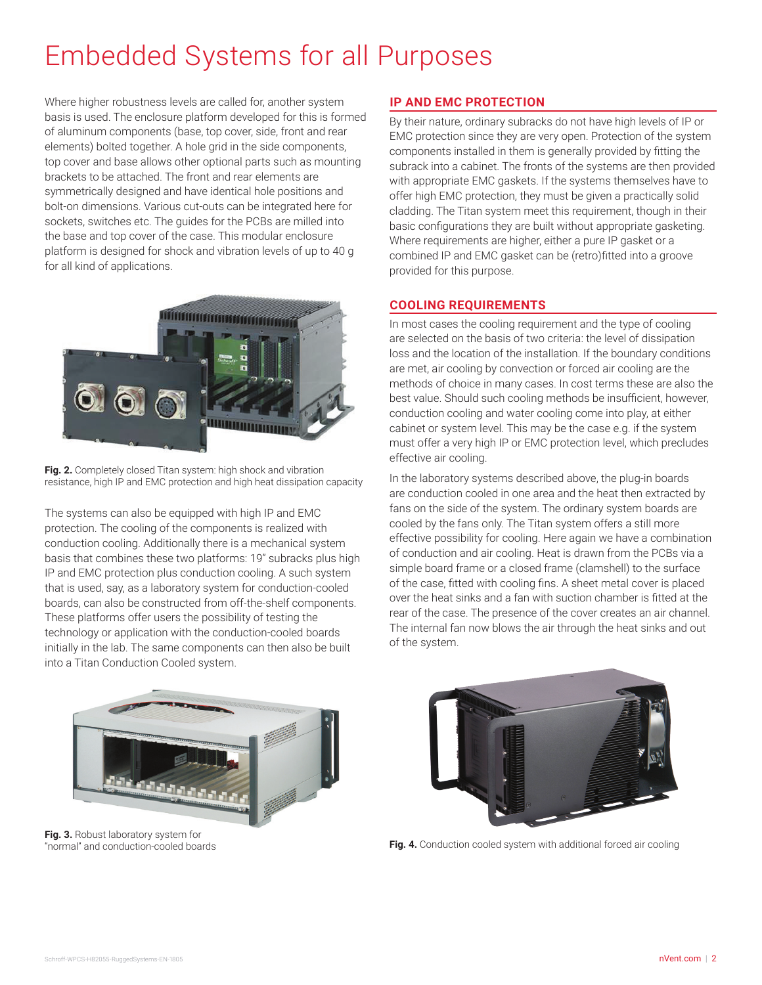# Embedded Systems for all Purposes

Where higher robustness levels are called for, another system basis is used. The enclosure platform developed for this is formed of aluminum components (base, top cover, side, front and rear elements) bolted together. A hole grid in the side components, top cover and base allows other optional parts such as mounting brackets to be attached. The front and rear elements are symmetrically designed and have identical hole positions and bolt-on dimensions. Various cut-outs can be integrated here for sockets, switches etc. The guides for the PCBs are milled into the base and top cover of the case. This modular enclosure platform is designed for shock and vibration levels of up to 40 g for all kind of applications.



**Fig. 2.** Completely closed Titan system: high shock and vibration resistance, high IP and EMC protection and high heat dissipation capacity

The systems can also be equipped with high IP and EMC protection. The cooling of the components is realized with conduction cooling. Additionally there is a mechanical system basis that combines these two platforms: 19" subracks plus high IP and EMC protection plus conduction cooling. A such system that is used, say, as a laboratory system for conduction-cooled boards, can also be constructed from off-the-shelf components. These platforms offer users the possibility of testing the technology or application with the conduction-cooled boards initially in the lab. The same components can then also be built into a Titan Conduction Cooled system.

# **IP AND EMC PROTECTION**

By their nature, ordinary subracks do not have high levels of IP or EMC protection since they are very open. Protection of the system components installed in them is generally provided by fitting the subrack into a cabinet. The fronts of the systems are then provided with appropriate EMC gaskets. If the systems themselves have to offer high EMC protection, they must be given a practically solid cladding. The Titan system meet this requirement, though in their basic configurations they are built without appropriate gasketing. Where requirements are higher, either a pure IP gasket or a combined IP and EMC gasket can be (retro)fitted into a groove provided for this purpose.

### **COOLING REQUIREMENTS**

In most cases the cooling requirement and the type of cooling are selected on the basis of two criteria: the level of dissipation loss and the location of the installation. If the boundary conditions are met, air cooling by convection or forced air cooling are the methods of choice in many cases. In cost terms these are also the best value. Should such cooling methods be insufficient, however, conduction cooling and water cooling come into play, at either cabinet or system level. This may be the case e.g. if the system must offer a very high IP or EMC protection level, which precludes effective air cooling.

In the laboratory systems described above, the plug-in boards are conduction cooled in one area and the heat then extracted by fans on the side of the system. The ordinary system boards are cooled by the fans only. The Titan system offers a still more effective possibility for cooling. Here again we have a combination of conduction and air cooling. Heat is drawn from the PCBs via a simple board frame or a closed frame (clamshell) to the surface of the case, fitted with cooling fins. A sheet metal cover is placed over the heat sinks and a fan with suction chamber is fitted at the rear of the case. The presence of the cover creates an air channel. The internal fan now blows the air through the heat sinks and out of the system.



**Fig. 3.** Robust laboratory system for "normal" and conduction-cooled boards



**Fig. 4.** Conduction cooled system with additional forced air cooling